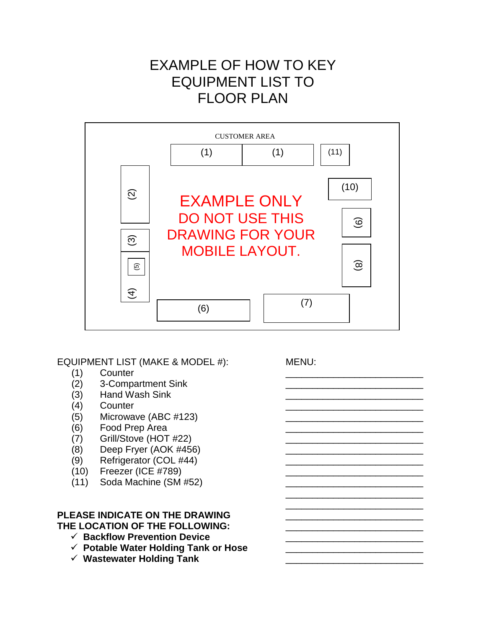# EXAMPLE OF HOW TO KEY EQUIPMENT LIST TO FLOOR PLAN



EQUIPMENT LIST (MAKE & MODEL #): MENU:

- (1) Counter \_\_\_\_\_\_\_\_\_\_\_\_\_\_\_\_\_\_\_\_\_\_\_\_\_\_
- $(2)$  3-Compartment Sink
- $(3)$  Hand Wash Sink
- (4) Counter 2008 (4) Counter 2008 (4) Counter 2008 (4) Counter 2008 (4) Counter 2008 (4) Counter 2008 (4) Counter 2008 (4) Counter 2008 (4) Counter 2008 (4) Counter 2008 (4) Counter 2008 (4) Counter 2008 (4) Counter 2008 (
- $(5)$  Microwave (ABC #123)
- $(6)$  Food Prep Area
- $(7)$  Grill/Stove (HOT #22)
- $(8)$  Deep Fryer  $(AOK \#456)$
- $(9)$  Refrigerator  $(COL$  #44)
- $(10)$  Freezer (ICE #789)
- $(11)$  Soda Machine  $(SM #52)$

# PLEASE INDICATE ON THE DRAWING THE LOCATION OF THE FOLLOWING:

- ← Backflow Prevention Device
- **Potable Water Holding Tank or Hose** \_\_\_\_\_\_\_\_\_\_\_\_\_\_\_\_\_\_\_\_\_\_\_\_\_\_
- **Wastewater Holding Tank** \_\_\_\_\_\_\_\_\_\_\_\_\_\_\_\_\_\_\_\_\_\_\_\_\_\_

\_\_\_\_\_\_\_\_\_\_\_\_\_\_\_\_\_\_\_\_\_\_\_\_\_\_ \_\_\_\_\_\_\_\_\_\_\_\_\_\_\_\_\_\_\_\_\_\_\_\_\_\_